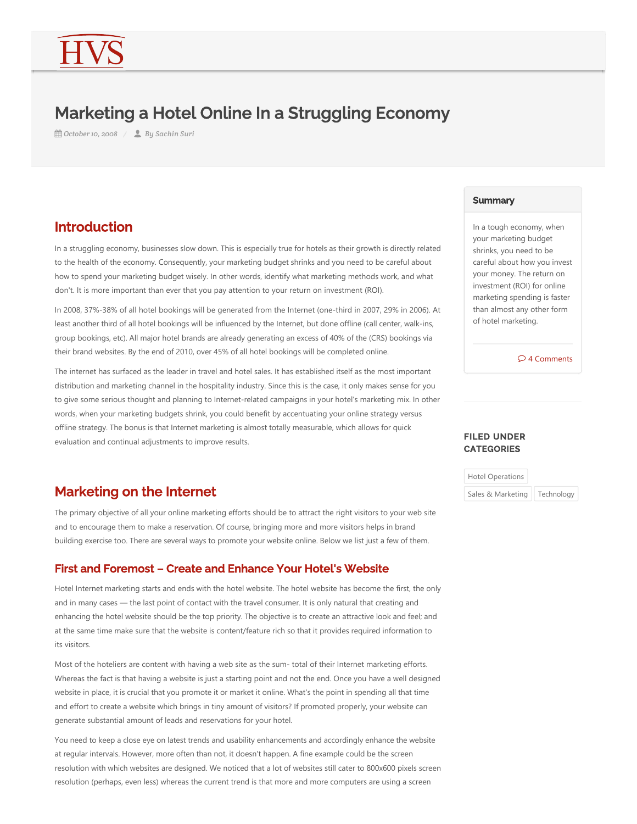# Marketing a Hotel Online In a Struggling Economy

**曲 October 10, 2008 / ■ By Sachin Suri** 

## Introduction

In a struggling economy, businesses slow down. This is especially true for hotels as their growth is directly related to the health of the economy. Consequently, your marketing budget shrinks and you need to be careful about how to spend your marketing budget wisely. In other words, identify what marketing methods work, and what don't. It is more important than ever that you pay attention to your return on investment (ROI).

In 2008, 37%-38% of all hotel bookings will be generated from the Internet (one-third in 2007, 29% in 2006). At least another third of all hotel bookings will be influenced by the Internet, but done offline (call center, walk-ins, group bookings, etc). All major hotel brands are already generating an excess of 40% of the (CRS) bookings via their brand websites. By the end of 2010, over 45% of all hotel bookings will be completed online.

The internet has surfaced as the leader in travel and hotel sales. It has established itself as the most important distribution and marketing channel in the hospitality industry. Since this is the case, it only makes sense for you to give some serious thought and planning to Internet-related campaigns in your hotel's marketing mix. In other words, when your marketing budgets shrink, you could benefit by accentuating your online strategy versus offline strategy. The bonus is that Internet marketing is almost totally measurable, which allows for quick evaluation and continual adjustments to improve results.

### Marketing on the Internet

The primary objective of all your online marketing efforts should be to attract the right visitors to your web site and to encourage them to make a reservation. Of course, bringing more and more visitors helps in brand building exercise too. There are several ways to promote your website online. Below we list just a few of them.

### First and Foremost – Create and Enhance Your Hotel's Website

Hotel Internet marketing starts and ends with the hotel website. The hotel website has become the first, the only and in many cases — the last point of contact with the travel consumer. It is only natural that creating and enhancing the hotel website should be the top priority. The objective is to create an attractive look and feel; and at the same time make sure that the website is content/feature rich so that it provides required information to its visitors.

Most of the hoteliers are content with having a web site as the sum‐ total of their Internet marketing efforts. Whereas the fact is that having a website is just a starting point and not the end. Once you have a well designed website in place, it is crucial that you promote it or market it online. What's the point in spending all that time and effort to create a website which brings in tiny amount of visitors? If promoted properly, your website can generate substantial amount of leads and reservations for your hotel.

You need to keep a close eye on latest trends and usability enhancements and accordingly enhance the website at regular intervals. However, more often than not, it doesn't happen. A fine example could be the screen resolution with which websites are designed. We noticed that a lot of websites still cater to 800x600 pixels screen resolution (perhaps, even less) whereas the current trend is that more and more computers are using a screen

#### **Summary**

In a tough economy, when your marketing budget shrinks, you need to be careful about how you invest your money. The return on investment (ROI) for online marketing spending is faster than almost any other form of hotel marketing.

4 Comments

#### FILED UNDER **CATEGORIES**

Hotel Operations Sales & Marketing | Technology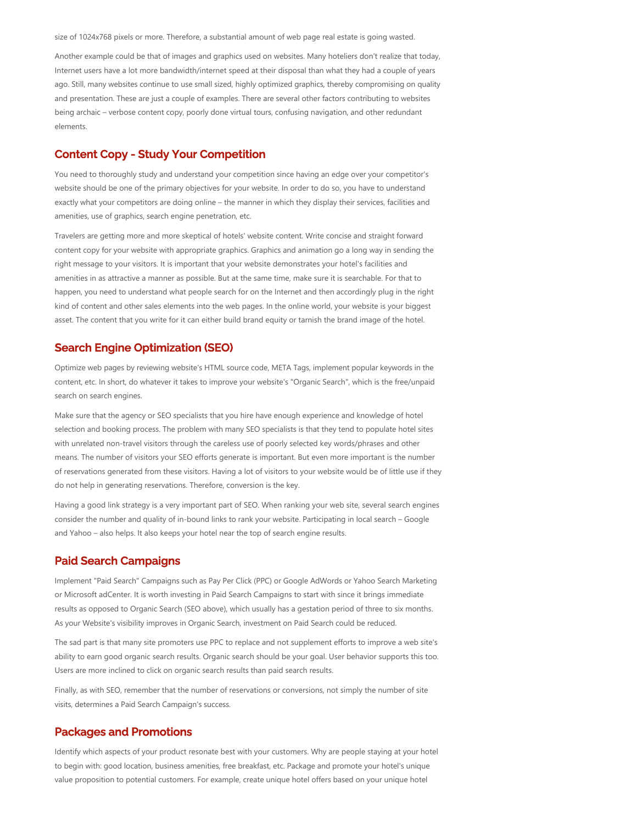size of 1024x768 pixels or more. Therefore, a substantial amount of web page real estate is going wasted.

Another example could be that of images and graphics used on websites. Many hoteliers don't realize that today, Internet users have a lot more bandwidth/internet speed at their disposal than what they had a couple of years ago. Still, many websites continue to use small sized, highly optimized graphics, thereby compromising on quality and presentation. These are just a couple of examples. There are several other factors contributing to websites being archaic – verbose content copy, poorly done virtual tours, confusing navigation, and other redundant elements.

#### Content Copy - Study Your Competition

You need to thoroughly study and understand your competition since having an edge over your competitor's website should be one of the primary objectives for your website. In order to do so, you have to understand exactly what your competitors are doing online – the manner in which they display their services, facilities and amenities, use of graphics, search engine penetration, etc.

Travelers are getting more and more skeptical of hotels' website content. Write concise and straight forward content copy for your website with appropriate graphics. Graphics and animation go a long way in sending the right message to your visitors. It is important that your website demonstrates your hotel's facilities and amenities in as attractive a manner as possible. But at the same time, make sure it is searchable. For that to happen, you need to understand what people search for on the Internet and then accordingly plug in the right kind of content and other sales elements into the web pages. In the online world, your website is your biggest asset. The content that you write for it can either build brand equity or tarnish the brand image of the hotel.

#### Search Engine Optimization (SEO)

Optimize web pages by reviewing website's HTML source code, META Tags, implement popular keywords in the content, etc. In short, do whatever it takes to improve your website's "Organic Search", which is the free/unpaid search on search engines.

Make sure that the agency or SEO specialists that you hire have enough experience and knowledge of hotel selection and booking process. The problem with many SEO specialists is that they tend to populate hotel sites with unrelated non-travel visitors through the careless use of poorly selected key words/phrases and other means. The number of visitors your SEO efforts generate is important. But even more important is the number of reservations generated from these visitors. Having a lot of visitors to your website would be of little use if they do not help in generating reservations. Therefore, conversion is the key.

Having a good link strategy is a very important part of SEO. When ranking your web site, several search engines consider the number and quality of in‐bound links to rank your website. Participating in local search – Google and Yahoo – also helps. It also keeps your hotel near the top of search engine results.

#### Paid Search Campaigns

Implement "Paid Search" Campaigns such as Pay Per Click (PPC) or Google AdWords or Yahoo Search Marketing or Microsoft adCenter. It is worth investing in Paid Search Campaigns to start with since it brings immediate results as opposed to Organic Search (SEO above), which usually has a gestation period of three to six months. As your Website's visibility improves in Organic Search, investment on Paid Search could be reduced.

The sad part is that many site promoters use PPC to replace and not supplement efforts to improve a web site's ability to earn good organic search results. Organic search should be your goal. User behavior supports this too. Users are more inclined to click on organic search results than paid search results.

Finally, as with SEO, remember that the number of reservations or conversions, not simply the number of site visits, determines a Paid Search Campaign's success.

#### Packages and Promotions

Identify which aspects of your product resonate best with your customers. Why are people staying at your hotel to begin with: good location, business amenities, free breakfast, etc. Package and promote your hotel's unique value proposition to potential customers. For example, create unique hotel offers based on your unique hotel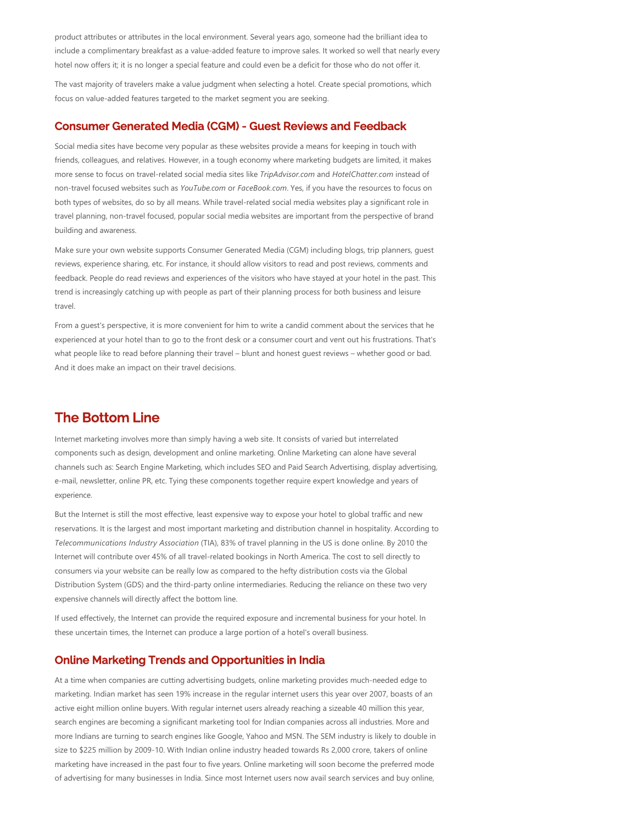product attributes or attributes in the local environment. Several years ago, someone had the brilliant idea to include a complimentary breakfast as a value‐added feature to improve sales. It worked so well that nearly every hotel now offers it; it is no longer a special feature and could even be a deficit for those who do not offer it.

The vast majority of travelers make a value judgment when selecting a hotel. Create special promotions, which focus on value‐added features targeted to the market segment you are seeking.

#### Consumer Generated Media (CGM) - Guest Reviews and Feedback

Social media sites have become very popular as these websites provide a means for keeping in touch with friends, colleagues, and relatives. However, in a tough economy where marketing budgets are limited, it makes more sense to focus on travel‐related social media sites like *TripAdvisor.com* and *HotelChatter.com* instead of non‐travel focused websites such as *YouTube.com* or *FaceBook.com*. Yes, if you have the resources to focus on both types of websites, do so by all means. While travel‐related social media websites play a significant role in travel planning, non‐travel focused, popular social media websites are important from the perspective of brand building and awareness.

Make sure your own website supports Consumer Generated Media (CGM) including blogs, trip planners, quest reviews, experience sharing, etc. For instance, it should allow visitors to read and post reviews, comments and feedback. People do read reviews and experiences of the visitors who have stayed at your hotel in the past. This trend is increasingly catching up with people as part of their planning process for both business and leisure travel.

From a guest's perspective, it is more convenient for him to write a candid comment about the services that he experienced at your hotel than to go to the front desk or a consumer court and vent out his frustrations. That's what people like to read before planning their travel – blunt and honest guest reviews – whether good or bad. And it does make an impact on their travel decisions.

### The Bottom Line

Internet marketing involves more than simply having a web site. It consists of varied but interrelated components such as design, development and online marketing. Online Marketing can alone have several channels such as: Search Engine Marketing, which includes SEO and Paid Search Advertising, display advertising, e-mail, newsletter, online PR, etc. Tying these components together require expert knowledge and years of experience.

But the Internet is still the most effective, least expensive way to expose your hotel to global traffic and new reservations. It is the largest and most important marketing and distribution channel in hospitality. According to Telecommunications Industry Association (TIA), 83% of travel planning in the US is done online. By 2010 the Internet will contribute over 45% of all travel‐related bookings in North America. The cost to sell directly to consumers via your website can be really low as compared to the hefty distribution costs via the Global Distribution System (GDS) and the third-party online intermediaries. Reducing the reliance on these two very expensive channels will directly affect the bottom line.

If used effectively, the Internet can provide the required exposure and incremental business for your hotel. In these uncertain times, the Internet can produce a large portion of a hotel's overall business.

#### Online Marketing Trends and Opportunities in India

At a time when companies are cutting advertising budgets, online marketing provides much‐needed edge to marketing. Indian market has seen 19% increase in the regular internet users this year over 2007, boasts of an active eight million online buyers. With regular internet users already reaching a sizeable 40 million this year, search engines are becoming a significant marketing tool for Indian companies across all industries. More and more Indians are turning to search engines like Google, Yahoo and MSN. The SEM industry is likely to double in size to \$225 million by 2009-10. With Indian online industry headed towards Rs 2,000 crore, takers of online marketing have increased in the past four to five years. Online marketing will soon become the preferred mode of advertising for many businesses in India. Since most Internet users now avail search services and buy online,